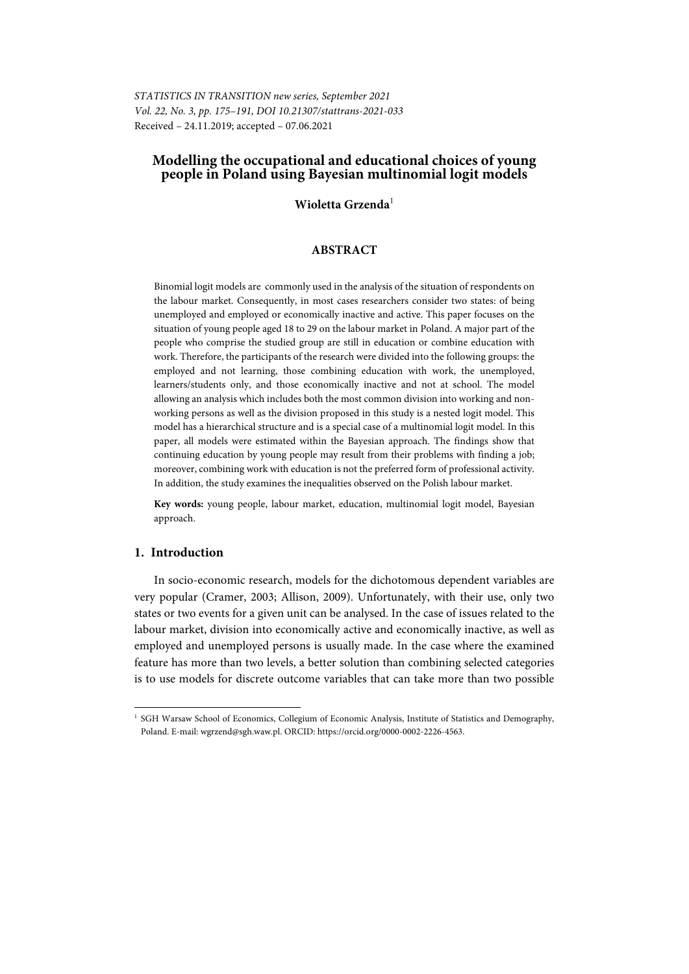*STATISTICS IN TRANSITION new series, September 2021 Vol. 22, No. 3, pp. 175–191, DOI 10.21307/stattrans-2021-033*  Received – 24.11.2019; accepted – 07.06.2021

# **Modelling the occupational and educational choices of young people in Poland using Bayesian multinomial logit models**

#### **Wioletta Grzenda**<sup>1</sup>

### **ABSTRACT**

Binomial logit models are commonly used in the analysis of the situation of respondents on the labour market. Consequently, in most cases researchers consider two states: of being unemployed and employed or economically inactive and active. This paper focuses on the situation of young people aged 18 to 29 on the labour market in Poland. A major part of the people who comprise the studied group are still in education or combine education with work. Therefore, the participants of the research were divided into the following groups: the employed and not learning, those combining education with work, the unemployed, learners/students only, and those economically inactive and not at school. The model allowing an analysis which includes both the most common division into working and nonworking persons as well as the division proposed in this study is a nested logit model. This model has a hierarchical structure and is a special case of a multinomial logit model. In this paper, all models were estimated within the Bayesian approach. The findings show that continuing education by young people may result from their problems with finding a job; moreover, combining work with education is not the preferred form of professional activity. In addition, the study examines the inequalities observed on the Polish labour market.

**Key words:** young people, labour market, education, multinomial logit model, Bayesian approach.

# **1. Introduction**

l

In socio-economic research, models for the dichotomous dependent variables are very popular (Cramer, 2003; Allison, 2009). Unfortunately, with their use, only two states or two events for a given unit can be analysed. In the case of issues related to the labour market, division into economically active and economically inactive, as well as employed and unemployed persons is usually made. In the case where the examined feature has more than two levels, a better solution than combining selected categories is to use models for discrete outcome variables that can take more than two possible

<sup>&</sup>lt;sup>1</sup> SGH Warsaw School of Economics, Collegium of Economic Analysis, Institute of Statistics and Demography, Poland. E-mail: wgrzend@sgh.waw.pl. ORCID: https://orcid.org/0000-0002-2226-4563.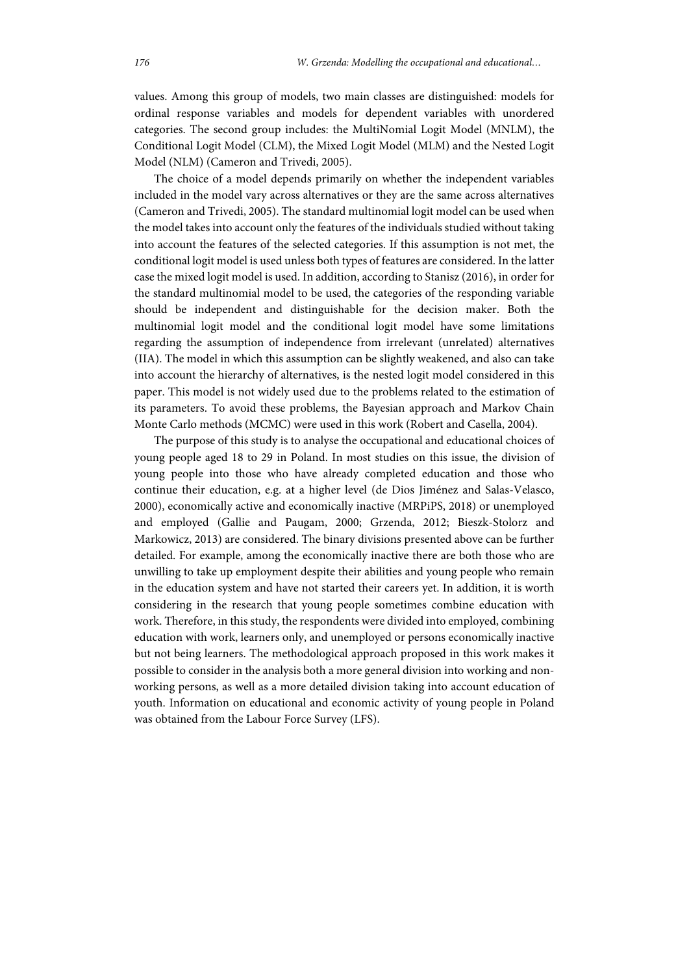values. Among this group of models, two main classes are distinguished: models for ordinal response variables and models for dependent variables with unordered categories. The second group includes: the MultiNomial Logit Model (MNLM), the Conditional Logit Model (CLM), the Mixed Logit Model (MLM) and the Nested Logit Model (NLM) (Cameron and Trivedi, 2005).

The choice of a model depends primarily on whether the independent variables included in the model vary across alternatives or they are the same across alternatives (Cameron and Trivedi, 2005). The standard multinomial logit model can be used when the model takes into account only the features of the individuals studied without taking into account the features of the selected categories. If this assumption is not met, the conditional logit model is used unless both types of features are considered. In the latter case the mixed logit model is used. In addition, according to Stanisz (2016), in order for the standard multinomial model to be used, the categories of the responding variable should be independent and distinguishable for the decision maker. Both the multinomial logit model and the conditional logit model have some limitations regarding the assumption of independence from irrelevant (unrelated) alternatives (IIA). The model in which this assumption can be slightly weakened, and also can take into account the hierarchy of alternatives, is the nested logit model considered in this paper. This model is not widely used due to the problems related to the estimation of its parameters. To avoid these problems, the Bayesian approach and Markov Chain Monte Carlo methods (MCMC) were used in this work (Robert and Casella, 2004).

The purpose of this study is to analyse the occupational and educational choices of young people aged 18 to 29 in Poland. In most studies on this issue, the division of young people into those who have already completed education and those who continue their education, e.g. at a higher level (de Dios Jiménez and Salas-Velasco, 2000), economically active and economically inactive (MRPiPS, 2018) or unemployed and employed (Gallie and Paugam, 2000; Grzenda, 2012; Bieszk-Stolorz and Markowicz, 2013) are considered. The binary divisions presented above can be further detailed. For example, among the economically inactive there are both those who are unwilling to take up employment despite their abilities and young people who remain in the education system and have not started their careers yet. In addition, it is worth considering in the research that young people sometimes combine education with work. Therefore, in this study, the respondents were divided into employed, combining education with work, learners only, and unemployed or persons economically inactive but not being learners. The methodological approach proposed in this work makes it possible to consider in the analysis both a more general division into working and nonworking persons, as well as a more detailed division taking into account education of youth. Information on educational and economic activity of young people in Poland was obtained from the Labour Force Survey (LFS).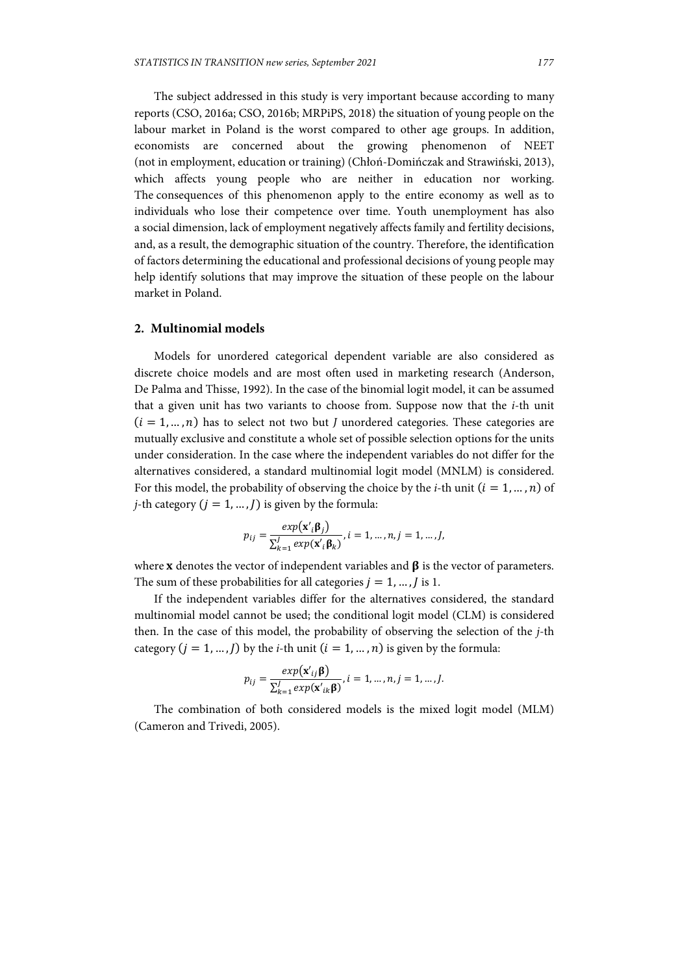The subject addressed in this study is very important because according to many reports (CSO, 2016a; CSO, 2016b; MRPiPS, 2018) the situation of young people on the labour market in Poland is the worst compared to other age groups. In addition, economists are concerned about the growing phenomenon of NEET (not in employment, education or training) (Chłoń-Domińczak and Strawiński, 2013), which affects young people who are neither in education nor working. The consequences of this phenomenon apply to the entire economy as well as to individuals who lose their competence over time. Youth unemployment has also a social dimension, lack of employment negatively affects family and fertility decisions, and, as a result, the demographic situation of the country. Therefore, the identification of factors determining the educational and professional decisions of young people may help identify solutions that may improve the situation of these people on the labour market in Poland.

#### **2. Multinomial models**

Models for unordered categorical dependent variable are also considered as discrete choice models and are most often used in marketing research (Anderson, De Palma and Thisse, 1992). In the case of the binomial logit model, it can be assumed that a given unit has two variants to choose from. Suppose now that the *i*-th unit  $(i = 1, ..., n)$  has to select not two but *J* unordered categories. These categories are mutually exclusive and constitute a whole set of possible selection options for the units under consideration. In the case where the independent variables do not differ for the alternatives considered, a standard multinomial logit model (MNLM) is considered. For this model, the probability of observing the choice by the *i*-th unit  $(i = 1, ..., n)$  of *j*-th category  $(j = 1, ..., J)$  is given by the formula:

$$
p_{ij} = \frac{exp(\mathbf{x}'_i \mathbf{\beta}_j)}{\sum_{k=1}^J exp(\mathbf{x}'_i \mathbf{\beta}_k)}, i = 1, ..., n, j = 1, ..., J,
$$

where **x** denotes the vector of independent variables and  $\beta$  is the vector of parameters. The sum of these probabilities for all categories  $j = 1, ..., j$  is 1.

If the independent variables differ for the alternatives considered, the standard multinomial model cannot be used; the conditional logit model (CLM) is considered then. In the case of this model, the probability of observing the selection of the *j*-th category  $(j = 1, ..., J)$  by the *i*-th unit  $(i = 1, ..., n)$  is given by the formula:

$$
p_{ij} = \frac{exp(\mathbf{x'}_{ij}\mathbf{\beta})}{\sum_{k=1}^{J} exp(\mathbf{x'}_{ik}\mathbf{\beta})}, i = 1, ..., n, j = 1, ..., J.
$$

The combination of both considered models is the mixed logit model (MLM) (Cameron and Trivedi, 2005).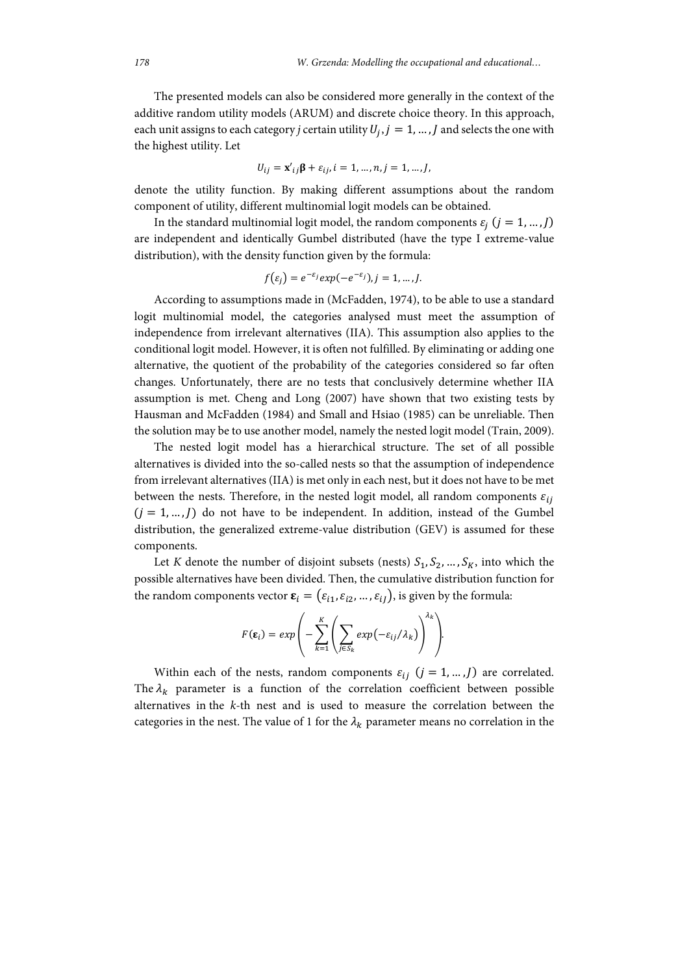The presented models can also be considered more generally in the context of the additive random utility models (ARUM) and discrete choice theory. In this approach, each unit assigns to each category *j* certain utility  $U_i$ ,  $j = 1, ..., J$  and selects the one with the highest utility. Let

$$
U_{ij} = \mathbf{x'}_{ij} \mathbf{\beta} + \varepsilon_{ij}, i = 1, ..., n, j = 1, ..., J,
$$

denote the utility function. By making different assumptions about the random component of utility, different multinomial logit models can be obtained.

In the standard multinomial logit model, the random components  $\varepsilon_i$   $(j = 1, ..., J)$ are independent and identically Gumbel distributed (have the type I extreme-value distribution), with the density function given by the formula:

$$
f(\varepsilon_j) = e^{-\varepsilon_j} \exp(-e^{-\varepsilon_j}), j = 1, \dots, J.
$$

According to assumptions made in (McFadden, 1974), to be able to use a standard logit multinomial model, the categories analysed must meet the assumption of independence from irrelevant alternatives (IIA). This assumption also applies to the conditional logit model. However, it is often not fulfilled. By eliminating or adding one alternative, the quotient of the probability of the categories considered so far often changes. Unfortunately, there are no tests that conclusively determine whether IIA assumption is met. Cheng and Long (2007) have shown that two existing tests by Hausman and McFadden (1984) and Small and Hsiao (1985) can be unreliable. Then the solution may be to use another model, namely the nested logit model (Train, 2009).

The nested logit model has a hierarchical structure. The set of all possible alternatives is divided into the so-called nests so that the assumption of independence from irrelevant alternatives (IIA) is met only in each nest, but it does not have to be met between the nests. Therefore, in the nested logit model, all random components  $\varepsilon_{ij}$  $(j = 1, ..., J)$  do not have to be independent. In addition, instead of the Gumbel distribution, the generalized extreme-value distribution (GEV) is assumed for these components.

Let *K* denote the number of disjoint subsets (nests)  $S_1, S_2, ..., S_K$ , into which the possible alternatives have been divided. Then, the cumulative distribution function for the random components vector  $\boldsymbol{\epsilon}_i = (\epsilon_{i1}, \epsilon_{i2}, ..., \epsilon_{iJ})$ , is given by the formula:

$$
F(\varepsilon_i) = exp\left(-\sum_{k=1}^K \left(\sum_{j\in S_k} exp(-\varepsilon_{ij}/\lambda_k)\right)^{\lambda_k}\right).
$$

Within each of the nests, random components  $\varepsilon_{ij}$   $(j = 1, ..., J)$  are correlated. The  $\lambda_k$  parameter is a function of the correlation coefficient between possible alternatives in the *k*-th nest and is used to measure the correlation between the categories in the nest. The value of 1 for the  $\lambda_k$  parameter means no correlation in the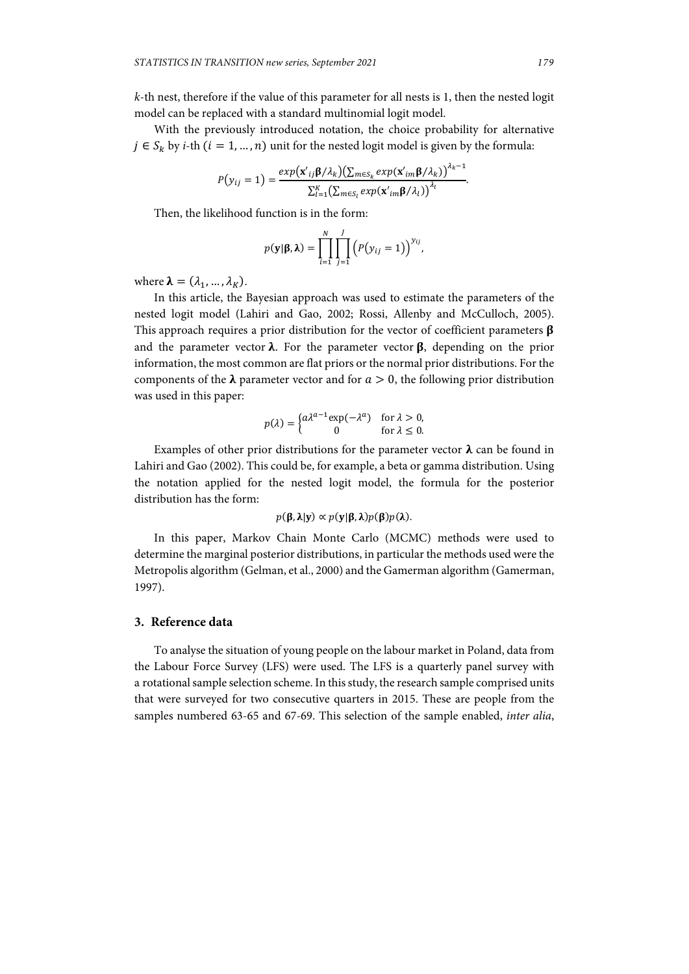*k*-th nest, therefore if the value of this parameter for all nests is 1, then the nested logit model can be replaced with a standard multinomial logit model.

With the previously introduced notation, the choice probability for alternative  $j \in S_k$  by *i*-th  $(i = 1, ..., n)$  unit for the nested logit model is given by the formula:

$$
P(y_{ij} = 1) = \frac{exp(\mathbf{x}_{ij}'\mathbf{\beta}/\lambda_k)(\sum_{m \in S_k} exp(\mathbf{x}_{im}'\mathbf{\beta}/\lambda_k))^{^{\lambda_k - 1}}}{\sum_{l=1}^K (\sum_{m \in S_l} exp(\mathbf{x}_{im}'\mathbf{\beta}/\lambda_l))^{^{\lambda_l}}}
$$

Then, the likelihood function is in the form:

$$
p(\mathbf{y}|\mathbf{\beta},\boldsymbol{\lambda})=\prod_{i=1}^N\prod_{j=1}^J\left(P(y_{ij}=1)\right)^{y_{ij}},
$$

where  $\lambda = (\lambda_1, ..., \lambda_K)$ .

In this article, the Bayesian approach was used to estimate the parameters of the nested logit model (Lahiri and Gao, 2002; Rossi, Allenby and McCulloch, 2005). This approach requires a prior distribution for the vector of coefficient parameters  $\beta$ and the parameter vector  $\lambda$ . For the parameter vector  $\beta$ , depending on the prior information, the most common are flat priors or the normal prior distributions. For the components of the  $\lambda$  parameter vector and for  $a > 0$ , the following prior distribution was used in this paper:

$$
p(\lambda) = \begin{cases} a\lambda^{a-1} \exp(-\lambda^a) & \text{for } \lambda > 0, \\ 0 & \text{for } \lambda \le 0. \end{cases}
$$

Examples of other prior distributions for the parameter vector  $\lambda$  can be found in Lahiri and Gao (2002). This could be, for example, a beta or gamma distribution. Using the notation applied for the nested logit model, the formula for the posterior distribution has the form:

$$
p(\beta, \lambda | \mathbf{y}) \propto p(\mathbf{y} | \beta, \lambda) p(\beta) p(\lambda).
$$

In this paper, Markov Chain Monte Carlo (MCMC) methods were used to determine the marginal posterior distributions, in particular the methods used were the Metropolis algorithm (Gelman, et al., 2000) and the Gamerman algorithm (Gamerman, 1997).

# **3. Reference data**

To analyse the situation of young people on the labour market in Poland, data from the Labour Force Survey (LFS) were used. The LFS is a quarterly panel survey with a rotational sample selection scheme. In this study, the research sample comprised units that were surveyed for two consecutive quarters in 2015. These are people from the samples numbered 63-65 and 67-69. This selection of the sample enabled, *inter alia*,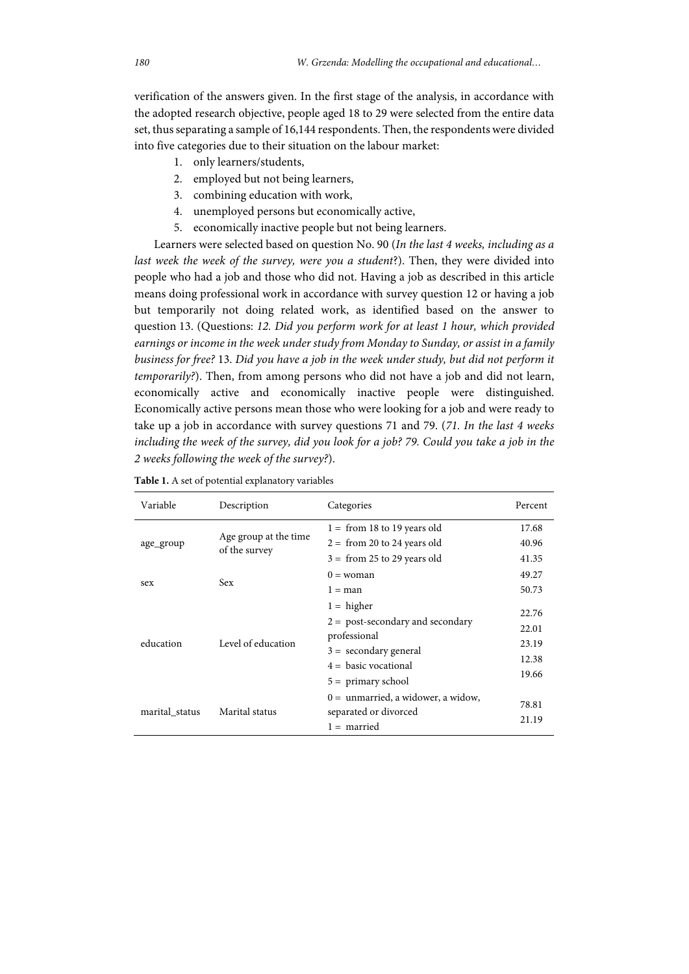verification of the answers given. In the first stage of the analysis, in accordance with the adopted research objective, people aged 18 to 29 were selected from the entire data set, thus separating a sample of 16,144 respondents. Then, the respondents were divided into five categories due to their situation on the labour market:

- 1. only learners/students,
- 2. employed but not being learners,
- 3. combining education with work,
- 4. unemployed persons but economically active,
- 5. economically inactive people but not being learners.

Learners were selected based on question No. 90 (*In the last 4 weeks, including as a last week the week of the survey, were you a student*?). Then, they were divided into people who had a job and those who did not. Having a job as described in this article means doing professional work in accordance with survey question 12 or having a job but temporarily not doing related work, as identified based on the answer to question 13. (Questions: *12. Did you perform work for at least 1 hour, which provided earnings or income in the week under study from Monday to Sunday, or assist in a family business for free?* 13. *Did you have a job in the week under study, but did not perform it temporarily?*). Then, from among persons who did not have a job and did not learn, economically active and economically inactive people were distinguished. Economically active persons mean those who were looking for a job and were ready to take up a job in accordance with survey questions 71 and 79. (*71. In the last 4 weeks including the week of the survey, did you look for a job? 79. Could you take a job in the 2 weeks following the week of the survey?*).

| Variable       | Description                            | Categories                                                    | Percent |
|----------------|----------------------------------------|---------------------------------------------------------------|---------|
| age_group      |                                        | $1 = from 18 to 19 years old$                                 | 17.68   |
|                | Age group at the time<br>of the survey | $2 = from 20 to 24 years old$                                 | 40.96   |
|                |                                        | $3 = from 25 to 29 years old$                                 | 41.35   |
| sex            | <b>Sex</b>                             | $0 =$ woman                                                   | 49.27   |
|                |                                        | $1 = man$                                                     | 50.73   |
| education      | Level of education                     | $1 = higher$                                                  | 22.76   |
|                |                                        | $2 =$ post-secondary and secondary<br>professional            | 22.01   |
|                |                                        | $3 =$ secondary general                                       | 23.19   |
|                |                                        | $4 = \text{basic vocational}$                                 | 12.38   |
|                |                                        | $5 =$ primary school                                          | 19.66   |
| marital status | Marital status                         | $0 =$ unmarried, a widower, a widow,<br>separated or divorced | 78.81   |
|                |                                        | $1 =$ married                                                 | 21.19   |

**Table 1.** A set of potential explanatory variables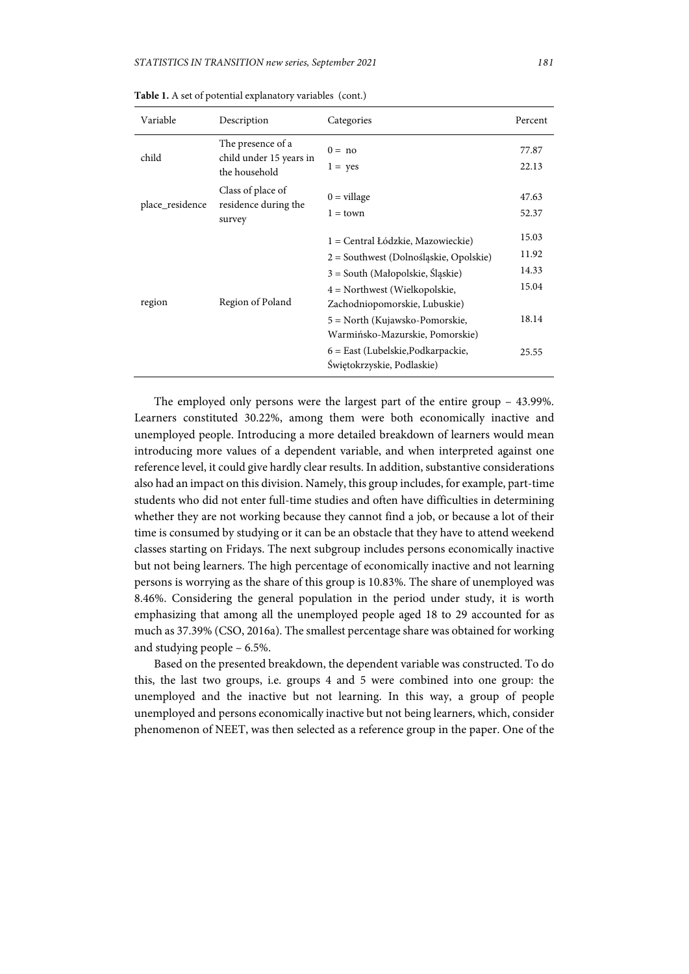| Variable        | Description                                                   | Categories                                                                                                                                                                                                                                                                                                                   | Percent                                            |
|-----------------|---------------------------------------------------------------|------------------------------------------------------------------------------------------------------------------------------------------------------------------------------------------------------------------------------------------------------------------------------------------------------------------------------|----------------------------------------------------|
| child           | The presence of a<br>child under 15 years in<br>the household | $0 = no$<br>$1 = yes$                                                                                                                                                                                                                                                                                                        | 77.87<br>22.13                                     |
| place_residence | Class of place of<br>residence during the<br>survey           | $0 = \text{village}$<br>$1 =$ town                                                                                                                                                                                                                                                                                           | 47.63<br>52.37                                     |
| region          | Region of Poland                                              | 1 = Central Łódzkie, Mazowieckie)<br>2 = Southwest (Dolnośląskie, Opolskie)<br>3 = South (Małopolskie, Šląskie)<br>$4$ = Northwest (Wielkopolskie,<br>Zachodniopomorskie, Lubuskie)<br>5 = North (Kujawsko-Pomorskie,<br>Warmińsko-Mazurskie, Pomorskie)<br>6 = East (Lubelskie, Podkarpackie,<br>Świętokrzyskie, Podlaskie) | 15.03<br>11.92<br>14.33<br>15.04<br>18.14<br>25.55 |

**Table 1.** A set of potential explanatory variables (cont.)

The employed only persons were the largest part of the entire group – 43.99%. Learners constituted 30.22%, among them were both economically inactive and unemployed people. Introducing a more detailed breakdown of learners would mean introducing more values of a dependent variable, and when interpreted against one reference level, it could give hardly clear results. In addition, substantive considerations also had an impact on this division. Namely, this group includes, for example, part-time students who did not enter full-time studies and often have difficulties in determining whether they are not working because they cannot find a job, or because a lot of their time is consumed by studying or it can be an obstacle that they have to attend weekend classes starting on Fridays. The next subgroup includes persons economically inactive but not being learners. The high percentage of economically inactive and not learning persons is worrying as the share of this group is 10.83%. The share of unemployed was 8.46%. Considering the general population in the period under study, it is worth emphasizing that among all the unemployed people aged 18 to 29 accounted for as much as 37.39% (CSO, 2016a). The smallest percentage share was obtained for working and studying people – 6.5%.

Based on the presented breakdown, the dependent variable was constructed. To do this, the last two groups, i.e. groups 4 and 5 were combined into one group: the unemployed and the inactive but not learning. In this way, a group of people unemployed and persons economically inactive but not being learners, which, consider phenomenon of NEET, was then selected as a reference group in the paper. One of the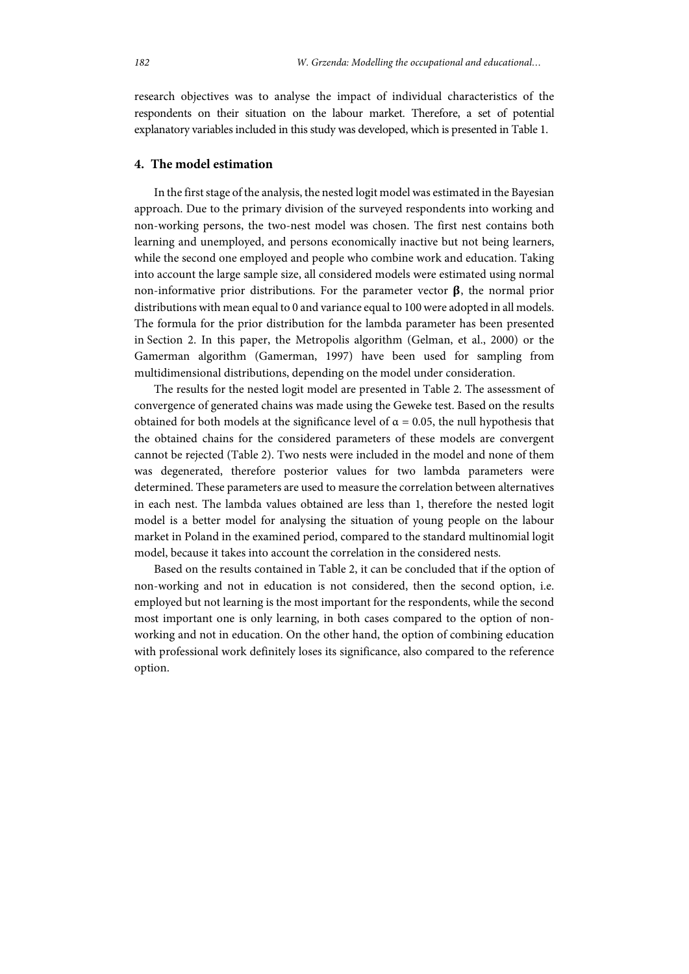research objectives was to analyse the impact of individual characteristics of the respondents on their situation on the labour market. Therefore, a set of potential explanatory variables included in this study was developed, which is presented in Table 1.

# **4. The model estimation**

In the first stage of the analysis, the nested logit model was estimated in the Bayesian approach. Due to the primary division of the surveyed respondents into working and non-working persons, the two-nest model was chosen. The first nest contains both learning and unemployed, and persons economically inactive but not being learners, while the second one employed and people who combine work and education. Taking into account the large sample size, all considered models were estimated using normal non-informative prior distributions. For the parameter vector  $\beta$ , the normal prior distributions with mean equal to 0 and variance equal to 100 were adopted in all models. The formula for the prior distribution for the lambda parameter has been presented in Section 2. In this paper, the Metropolis algorithm (Gelman, et al., 2000) or the Gamerman algorithm (Gamerman, 1997) have been used for sampling from multidimensional distributions, depending on the model under consideration.

The results for the nested logit model are presented in Table 2. The assessment of convergence of generated chains was made using the Geweke test. Based on the results obtained for both models at the significance level of  $\alpha = 0.05$ , the null hypothesis that the obtained chains for the considered parameters of these models are convergent cannot be rejected (Table 2). Two nests were included in the model and none of them was degenerated, therefore posterior values for two lambda parameters were determined. These parameters are used to measure the correlation between alternatives in each nest. The lambda values obtained are less than 1, therefore the nested logit model is a better model for analysing the situation of young people on the labour market in Poland in the examined period, compared to the standard multinomial logit model, because it takes into account the correlation in the considered nests.

Based on the results contained in Table 2, it can be concluded that if the option of non-working and not in education is not considered, then the second option, i.e. employed but not learning is the most important for the respondents, while the second most important one is only learning, in both cases compared to the option of nonworking and not in education. On the other hand, the option of combining education with professional work definitely loses its significance, also compared to the reference option.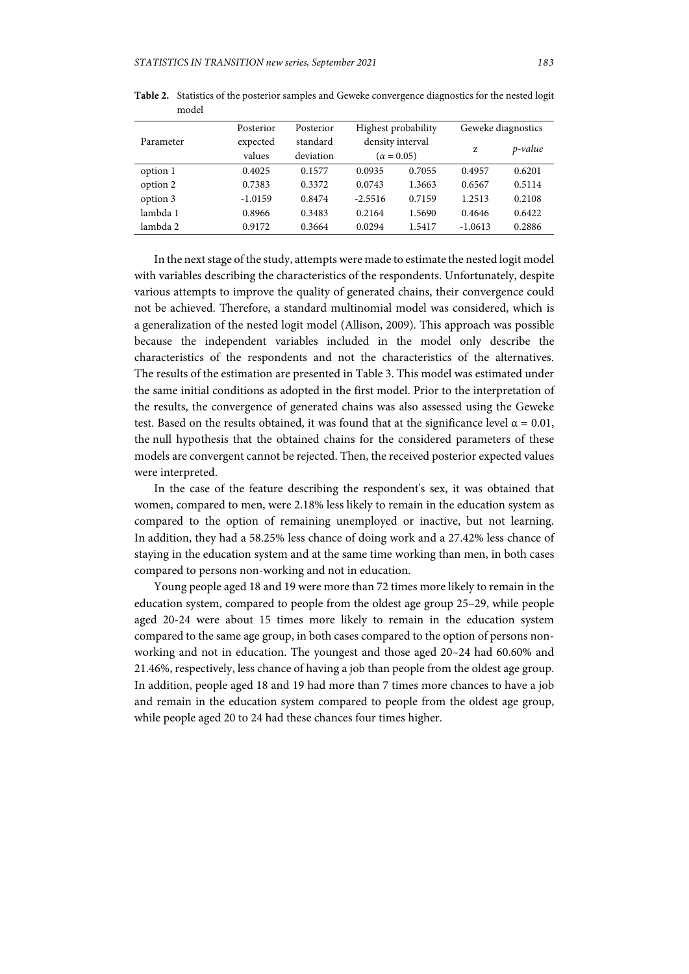|           | Posterior | Posterior                    | Highest probability |        | Geweke diagnostics |            |
|-----------|-----------|------------------------------|---------------------|--------|--------------------|------------|
| Parameter | expected  | density interval<br>standard |                     |        | z                  | $p$ -value |
|           | values    | deviation                    | $(\alpha = 0.05)$   |        |                    |            |
| option 1  | 0.4025    | 0.1577                       | 0.0935              | 0.7055 | 0.4957             | 0.6201     |
| option 2  | 0.7383    | 0.3372                       | 0.0743              | 1.3663 | 0.6567             | 0.5114     |
| option 3  | $-1.0159$ | 0.8474                       | $-2.5516$           | 0.7159 | 1.2513             | 0.2108     |
| lambda 1  | 0.8966    | 0.3483                       | 0.2164              | 1.5690 | 0.4646             | 0.6422     |
| lambda 2  | 0.9172    | 0.3664                       | 0.0294              | 1.5417 | $-1.0613$          | 0.2886     |

**Table 2.** Statistics of the posterior samples and Geweke convergence diagnostics for the nested logit model

In the next stage of the study, attempts were made to estimate the nested logit model with variables describing the characteristics of the respondents. Unfortunately, despite various attempts to improve the quality of generated chains, their convergence could not be achieved. Therefore, a standard multinomial model was considered, which is a generalization of the nested logit model (Allison, 2009). This approach was possible because the independent variables included in the model only describe the characteristics of the respondents and not the characteristics of the alternatives. The results of the estimation are presented in Table 3. This model was estimated under the same initial conditions as adopted in the first model. Prior to the interpretation of the results, the convergence of generated chains was also assessed using the Geweke test. Based on the results obtained, it was found that at the significance level  $\alpha = 0.01$ , the null hypothesis that the obtained chains for the considered parameters of these models are convergent cannot be rejected. Then, the received posterior expected values were interpreted.

In the case of the feature describing the respondent's sex, it was obtained that women, compared to men, were 2.18% less likely to remain in the education system as compared to the option of remaining unemployed or inactive, but not learning. In addition, they had a 58.25% less chance of doing work and a 27.42% less chance of staying in the education system and at the same time working than men, in both cases compared to persons non-working and not in education.

Young people aged 18 and 19 were more than 72 times more likely to remain in the education system, compared to people from the oldest age group 25–29, while people aged 20-24 were about 15 times more likely to remain in the education system compared to the same age group, in both cases compared to the option of persons nonworking and not in education. The youngest and those aged 20–24 had 60.60% and 21.46%, respectively, less chance of having a job than people from the oldest age group. In addition, people aged 18 and 19 had more than 7 times more chances to have a job and remain in the education system compared to people from the oldest age group, while people aged 20 to 24 had these chances four times higher.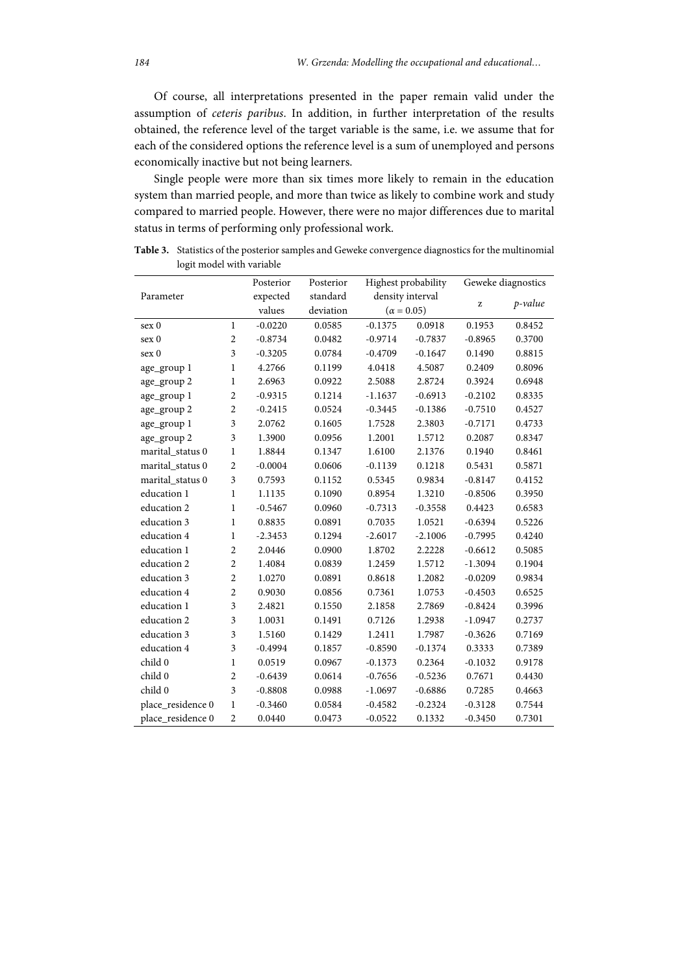Of course, all interpretations presented in the paper remain valid under the assumption of *ceteris paribus*. In addition, in further interpretation of the results obtained, the reference level of the target variable is the same, i.e. we assume that for each of the considered options the reference level is a sum of unemployed and persons economically inactive but not being learners.

Single people were more than six times more likely to remain in the education system than married people, and more than twice as likely to combine work and study compared to married people. However, there were no major differences due to marital status in terms of performing only professional work.

| Parameter         |                | Posterior | Posterior |                   | Highest probability | Geweke diagnostics |         |
|-------------------|----------------|-----------|-----------|-------------------|---------------------|--------------------|---------|
|                   |                | expected  | standard  | density interval  |                     |                    |         |
|                   |                | values    | deviation | $(\alpha = 0.05)$ |                     | z                  | p-value |
| sex 0             | $\mathbf{1}$   | $-0.0220$ | 0.0585    | $-0.1375$         | 0.0918              | 0.1953             | 0.8452  |
| sex 0             | $\overline{2}$ | $-0.8734$ | 0.0482    | $-0.9714$         | $-0.7837$           | $-0.8965$          | 0.3700  |
| sex 0             | 3              | $-0.3205$ | 0.0784    | $-0.4709$         | $-0.1647$           | 0.1490             | 0.8815  |
| age_group 1       | 1              | 4.2766    | 0.1199    | 4.0418            | 4.5087              | 0.2409             | 0.8096  |
| age_group 2       | $\mathbf{1}$   | 2.6963    | 0.0922    | 2.5088            | 2.8724              | 0.3924             | 0.6948  |
| age_group 1       | $\overline{2}$ | $-0.9315$ | 0.1214    | $-1.1637$         | $-0.6913$           | $-0.2102$          | 0.8335  |
| age_group 2       | $\overline{2}$ | $-0.2415$ | 0.0524    | $-0.3445$         | $-0.1386$           | $-0.7510$          | 0.4527  |
| age_group 1       | 3              | 2.0762    | 0.1605    | 1.7528            | 2.3803              | $-0.7171$          | 0.4733  |
| age_group 2       | 3              | 1.3900    | 0.0956    | 1.2001            | 1.5712              | 0.2087             | 0.8347  |
| marital status 0  | 1              | 1.8844    | 0.1347    | 1.6100            | 2.1376              | 0.1940             | 0.8461  |
| marital_status 0  | $\overline{2}$ | $-0.0004$ | 0.0606    | $-0.1139$         | 0.1218              | 0.5431             | 0.5871  |
| marital_status 0  | 3              | 0.7593    | 0.1152    | 0.5345            | 0.9834              | $-0.8147$          | 0.4152  |
| education 1       | $\mathbf{1}$   | 1.1135    | 0.1090    | 0.8954            | 1.3210              | $-0.8506$          | 0.3950  |
| education 2       | 1              | $-0.5467$ | 0.0960    | $-0.7313$         | $-0.3558$           | 0.4423             | 0.6583  |
| education 3       | $\mathbf{1}$   | 0.8835    | 0.0891    | 0.7035            | 1.0521              | $-0.6394$          | 0.5226  |
| education 4       | 1              | $-2.3453$ | 0.1294    | $-2.6017$         | $-2.1006$           | $-0.7995$          | 0.4240  |
| education 1       | $\overline{2}$ | 2.0446    | 0.0900    | 1.8702            | 2.2228              | $-0.6612$          | 0.5085  |
| education 2       | $\overline{c}$ | 1.4084    | 0.0839    | 1.2459            | 1.5712              | $-1.3094$          | 0.1904  |
| education 3       | $\overline{c}$ | 1.0270    | 0.0891    | 0.8618            | 1.2082              | $-0.0209$          | 0.9834  |
| education 4       | $\overline{2}$ | 0.9030    | 0.0856    | 0.7361            | 1.0753              | $-0.4503$          | 0.6525  |
| education 1       | 3              | 2.4821    | 0.1550    | 2.1858            | 2.7869              | $-0.8424$          | 0.3996  |
| education 2       | 3              | 1.0031    | 0.1491    | 0.7126            | 1.2938              | $-1.0947$          | 0.2737  |
| education 3       | 3              | 1.5160    | 0.1429    | 1.2411            | 1.7987              | $-0.3626$          | 0.7169  |
| education 4       | 3              | $-0.4994$ | 0.1857    | $-0.8590$         | $-0.1374$           | 0.3333             | 0.7389  |
| child 0           | $\mathbf{1}$   | 0.0519    | 0.0967    | $-0.1373$         | 0.2364              | $-0.1032$          | 0.9178  |
| child 0           | $\overline{2}$ | $-0.6439$ | 0.0614    | $-0.7656$         | $-0.5236$           | 0.7671             | 0.4430  |
| child 0           | 3              | $-0.8808$ | 0.0988    | $-1.0697$         | $-0.6886$           | 0.7285             | 0.4663  |
| place_residence 0 | $\mathbf{1}$   | $-0.3460$ | 0.0584    | $-0.4582$         | $-0.2324$           | $-0.3128$          | 0.7544  |
| place_residence 0 | $\overline{2}$ | 0.0440    | 0.0473    | $-0.0522$         | 0.1332              | $-0.3450$          | 0.7301  |

**Table 3.** Statistics of the posterior samples and Geweke convergence diagnostics for the multinomial logit model with variable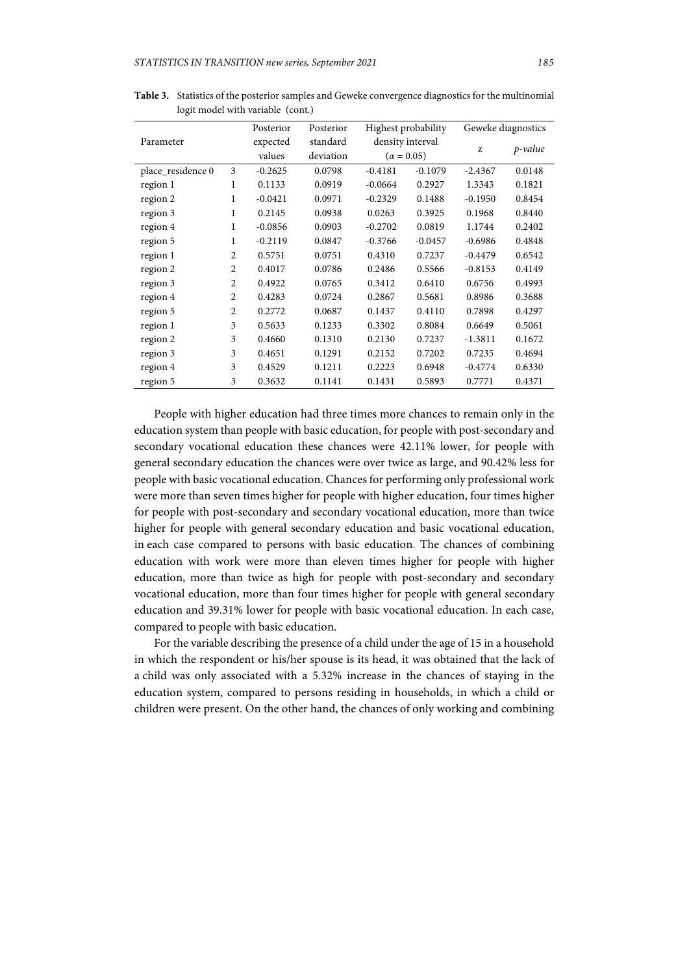|                   |                | Posterior | Posterior | Highest probability                   |           | Geweke diagnostics |            |
|-------------------|----------------|-----------|-----------|---------------------------------------|-----------|--------------------|------------|
| Parameter         |                | expected  | standard  | density interval<br>$(\alpha = 0.05)$ |           | z                  | $p$ -value |
|                   |                | values    | deviation |                                       |           |                    |            |
| place_residence 0 | 3              | $-0.2625$ | 0.0798    | $-0.4181$                             | $-0.1079$ | $-2.4367$          | 0.0148     |
| region 1          | 1              | 0.1133    | 0.0919    | $-0.0664$                             | 0.2927    | 1.3343             | 0.1821     |
| region 2          | 1              | $-0.0421$ | 0.0971    | $-0.2329$                             | 0.1488    | $-0.1950$          | 0.8454     |
| region 3          | 1              | 0.2145    | 0.0938    | 0.0263                                | 0.3925    | 0.1968             | 0.8440     |
| region 4          | $\mathbf{1}$   | $-0.0856$ | 0.0903    | $-0.2702$                             | 0.0819    | 1.1744             | 0.2402     |
| region 5          | 1              | $-0.2119$ | 0.0847    | $-0.3766$                             | $-0.0457$ | $-0.6986$          | 0.4848     |
| region 1          | 2              | 0.5751    | 0.0751    | 0.4310                                | 0.7237    | $-0.4479$          | 0.6542     |
| region 2          | 2              | 0.4017    | 0.0786    | 0.2486                                | 0.5566    | $-0.8153$          | 0.4149     |
| region 3          | $\overline{2}$ | 0.4922    | 0.0765    | 0.3412                                | 0.6410    | 0.6756             | 0.4993     |
| region 4          | $\overline{2}$ | 0.4283    | 0.0724    | 0.2867                                | 0.5681    | 0.8986             | 0.3688     |
| region 5          | $\overline{2}$ | 0.2772    | 0.0687    | 0.1437                                | 0.4110    | 0.7898             | 0.4297     |
| region 1          | 3              | 0.5633    | 0.1233    | 0.3302                                | 0.8084    | 0.6649             | 0.5061     |
| region 2          | 3              | 0.4660    | 0.1310    | 0.2130                                | 0.7237    | $-1.3811$          | 0.1672     |
| region 3          | 3              | 0.4651    | 0.1291    | 0.2152                                | 0.7202    | 0.7235             | 0.4694     |
| region 4          | 3              | 0.4529    | 0.1211    | 0.2223                                | 0.6948    | $-0.4774$          | 0.6330     |
| region 5          | 3              | 0.3632    | 0.1141    | 0.1431                                | 0.5893    | 0.7771             | 0.4371     |

**Table 3.** Statistics of the posterior samples and Geweke convergence diagnostics for the multinomial logit model with variable (cont.)

People with higher education had three times more chances to remain only in the education system than people with basic education, for people with post-secondary and secondary vocational education these chances were 42.11% lower, for people with general secondary education the chances were over twice as large, and 90.42% less for people with basic vocational education. Chances for performing only professional work were more than seven times higher for people with higher education, four times higher for people with post-secondary and secondary vocational education, more than twice higher for people with general secondary education and basic vocational education, in each case compared to persons with basic education. The chances of combining education with work were more than eleven times higher for people with higher education, more than twice as high for people with post-secondary and secondary vocational education, more than four times higher for people with general secondary education and 39.31% lower for people with basic vocational education. In each case, compared to people with basic education.

For the variable describing the presence of a child under the age of 15 in a household in which the respondent or his/her spouse is its head, it was obtained that the lack of a child was only associated with a 5.32% increase in the chances of staying in the education system, compared to persons residing in households, in which a child or children were present. On the other hand, the chances of only working and combining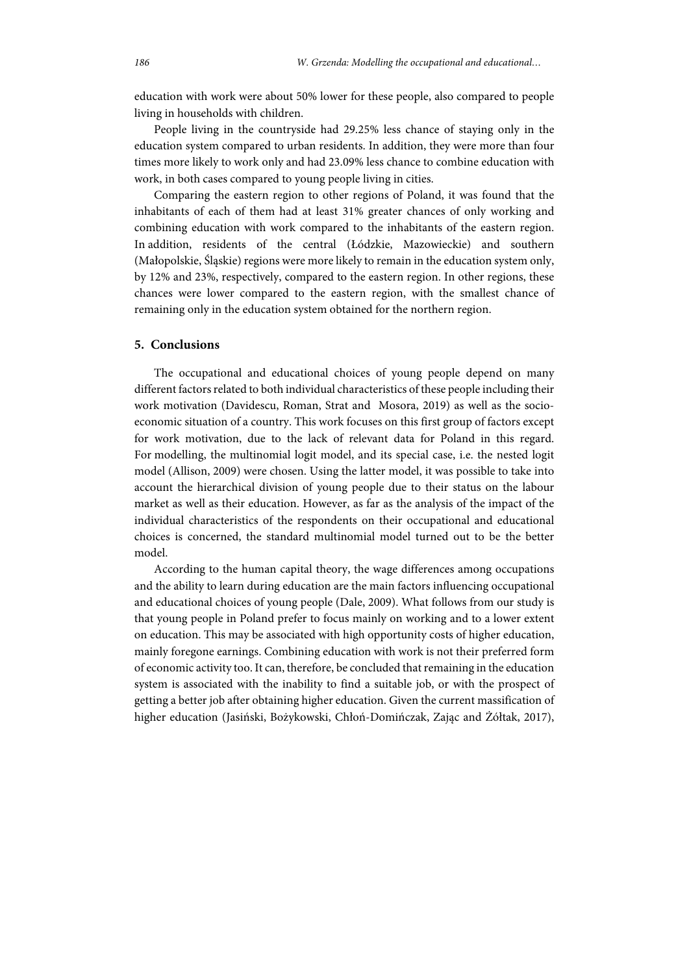education with work were about 50% lower for these people, also compared to people living in households with children.

People living in the countryside had 29.25% less chance of staying only in the education system compared to urban residents. In addition, they were more than four times more likely to work only and had 23.09% less chance to combine education with work, in both cases compared to young people living in cities.

Comparing the eastern region to other regions of Poland, it was found that the inhabitants of each of them had at least 31% greater chances of only working and combining education with work compared to the inhabitants of the eastern region. In addition, residents of the central (Łódzkie, Mazowieckie) and southern (Małopolskie, Śląskie) regions were more likely to remain in the education system only, by 12% and 23%, respectively, compared to the eastern region. In other regions, these chances were lower compared to the eastern region, with the smallest chance of remaining only in the education system obtained for the northern region.

### **5. Conclusions**

The occupational and educational choices of young people depend on many different factors related to both individual characteristics of these people including their work motivation (Davidescu, Roman, Strat and Mosora, 2019) as well as the socioeconomic situation of a country. This work focuses on this first group of factors except for work motivation, due to the lack of relevant data for Poland in this regard. For modelling, the multinomial logit model, and its special case, i.e. the nested logit model (Allison, 2009) were chosen. Using the latter model, it was possible to take into account the hierarchical division of young people due to their status on the labour market as well as their education. However, as far as the analysis of the impact of the individual characteristics of the respondents on their occupational and educational choices is concerned, the standard multinomial model turned out to be the better model.

According to the human capital theory, the wage differences among occupations and the ability to learn during education are the main factors influencing occupational and educational choices of young people (Dale, 2009). What follows from our study is that young people in Poland prefer to focus mainly on working and to a lower extent on education. This may be associated with high opportunity costs of higher education, mainly foregone earnings. Combining education with work is not their preferred form of economic activity too. It can, therefore, be concluded that remaining in the education system is associated with the inability to find a suitable job, or with the prospect of getting a better job after obtaining higher education. Given the current massification of higher education (Jasiński, Bożykowski, Chłoń-Domińczak, Zając and Żółtak, 2017),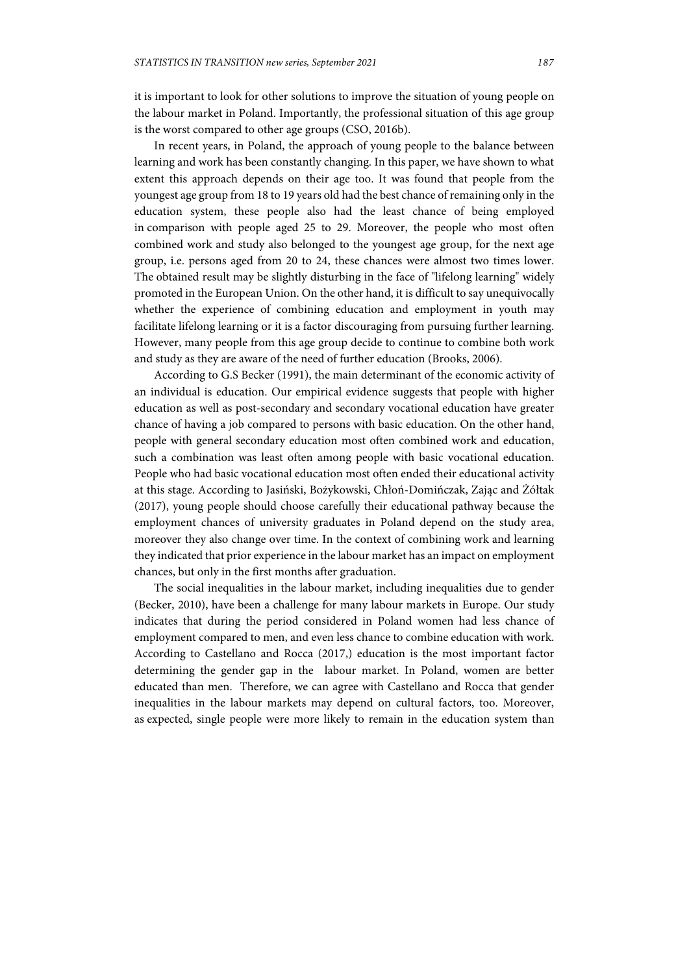it is important to look for other solutions to improve the situation of young people on the labour market in Poland. Importantly, the professional situation of this age group is the worst compared to other age groups (CSO, 2016b).

In recent years, in Poland, the approach of young people to the balance between learning and work has been constantly changing. In this paper, we have shown to what extent this approach depends on their age too. It was found that people from the youngest age group from 18 to 19 years old had the best chance of remaining only in the education system, these people also had the least chance of being employed in comparison with people aged 25 to 29. Moreover, the people who most often combined work and study also belonged to the youngest age group, for the next age group, i.e. persons aged from 20 to 24, these chances were almost two times lower. The obtained result may be slightly disturbing in the face of "lifelong learning" widely promoted in the European Union. On the other hand, it is difficult to say unequivocally whether the experience of combining education and employment in youth may facilitate lifelong learning or it is a factor discouraging from pursuing further learning. However, many people from this age group decide to continue to combine both work and study as they are aware of the need of further education (Brooks, 2006).

According to G.S Becker (1991), the main determinant of the economic activity of an individual is education. Our empirical evidence suggests that people with higher education as well as post-secondary and secondary vocational education have greater chance of having a job compared to persons with basic education. On the other hand, people with general secondary education most often combined work and education, such a combination was least often among people with basic vocational education. People who had basic vocational education most often ended their educational activity at this stage. According to Jasiński, Bożykowski, Chłoń-Domińczak, Zając and Żółtak (2017), young people should choose carefully their educational pathway because the employment chances of university graduates in Poland depend on the study area, moreover they also change over time. In the context of combining work and learning they indicated that prior experience in the labour market has an impact on employment chances, but only in the first months after graduation.

The social inequalities in the labour market, including inequalities due to gender (Becker, 2010), have been a challenge for many labour markets in Europe. Our study indicates that during the period considered in Poland women had less chance of employment compared to men, and even less chance to combine education with work. According to Castellano and Rocca (2017,) education is the most important factor determining the gender gap in the labour market. In Poland, women are better educated than men. Therefore, we can agree with Castellano and Rocca that gender inequalities in the labour markets may depend on cultural factors, too. Moreover, as expected, single people were more likely to remain in the education system than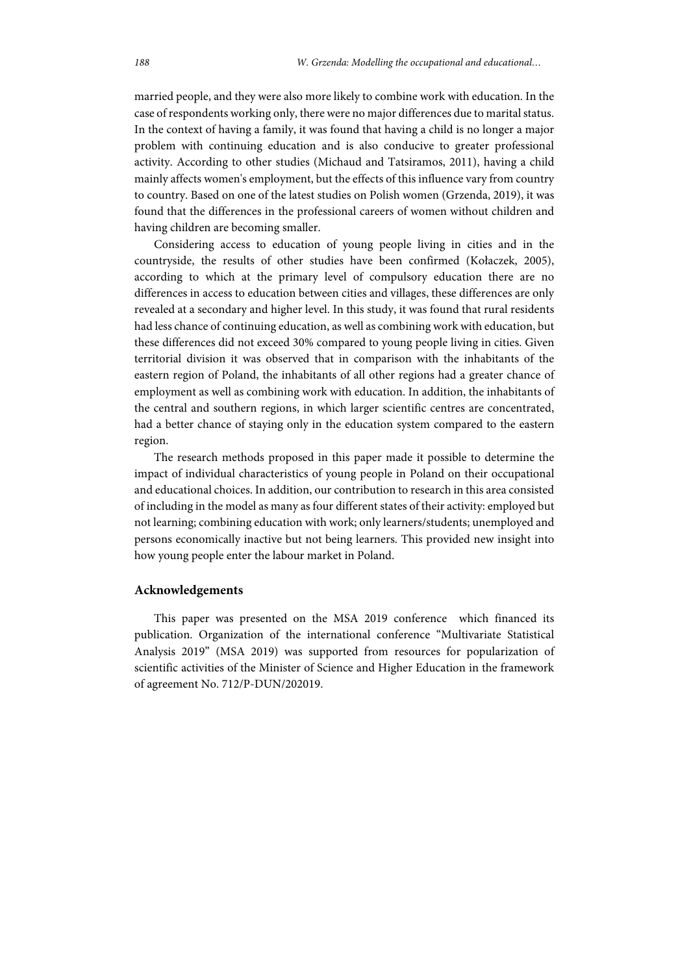married people, and they were also more likely to combine work with education. In the case of respondents working only, there were no major differences due to marital status. In the context of having a family, it was found that having a child is no longer a major problem with continuing education and is also conducive to greater professional activity. According to other studies (Michaud and Tatsiramos, 2011), having a child mainly affects women's employment, but the effects of this influence vary from country to country. Based on one of the latest studies on Polish women (Grzenda, 2019), it was found that the differences in the professional careers of women without children and having children are becoming smaller.

Considering access to education of young people living in cities and in the countryside, the results of other studies have been confirmed (Kołaczek, 2005), according to which at the primary level of compulsory education there are no differences in access to education between cities and villages, these differences are only revealed at a secondary and higher level. In this study, it was found that rural residents had less chance of continuing education, as well as combining work with education, but these differences did not exceed 30% compared to young people living in cities. Given territorial division it was observed that in comparison with the inhabitants of the eastern region of Poland, the inhabitants of all other regions had a greater chance of employment as well as combining work with education. In addition, the inhabitants of the central and southern regions, in which larger scientific centres are concentrated, had a better chance of staying only in the education system compared to the eastern region.

The research methods proposed in this paper made it possible to determine the impact of individual characteristics of young people in Poland on their occupational and educational choices. In addition, our contribution to research in this area consisted of including in the model as many as four different states of their activity: employed but not learning; combining education with work; only learners/students; unemployed and persons economically inactive but not being learners. This provided new insight into how young people enter the labour market in Poland.

#### **Acknowledgements**

This paper was presented on the MSA 2019 conference which financed its publication. Organization of the international conference "Multivariate Statistical Analysis 2019" (MSA 2019) was supported from resources for popularization of scientific activities of the Minister of Science and Higher Education in the framework of agreement No. 712/P-DUN/202019.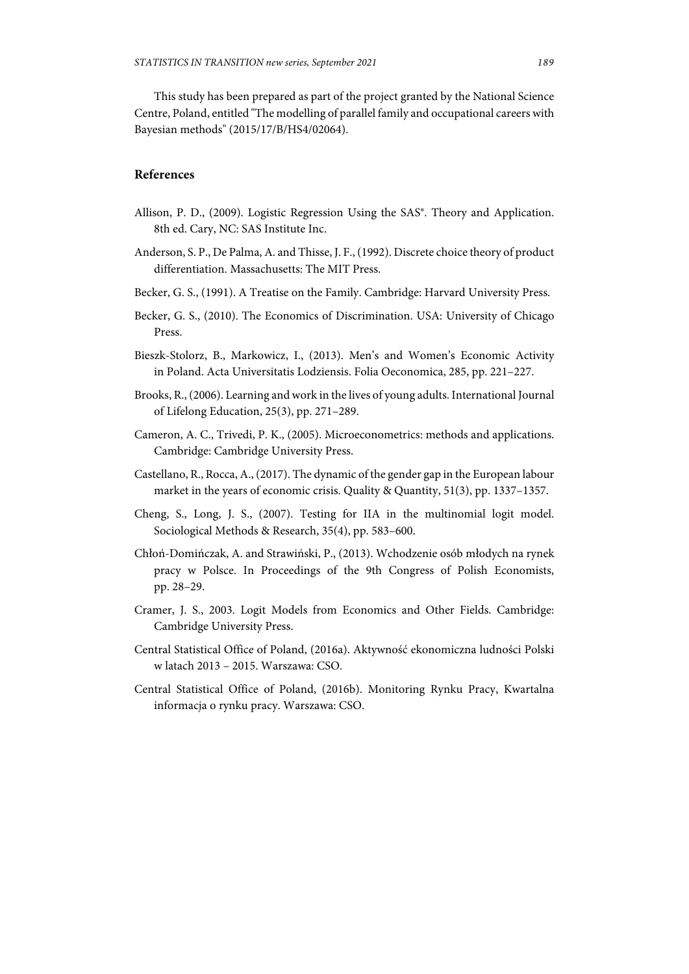This study has been prepared as part of the project granted by the National Science Centre, Poland, entitled "The modelling of parallel family and occupational careers with Bayesian methods" (2015/17/B/HS4/02064).

### **References**

- Allison, P. D., (2009). Logistic Regression Using the SAS<sup>®</sup>. Theory and Application. 8th ed. Cary, NC: SAS Institute Inc.
- Anderson, S. P., De Palma, A. and Thisse, J. F., (1992). Discrete choice theory of product differentiation. Massachusetts: The MIT Press.
- Becker, G. S., (1991). A Treatise on the Family. Cambridge: Harvard University Press.
- Becker, G. S., (2010). The Economics of Discrimination. USA: University of Chicago Press.
- Bieszk-Stolorz, B., Markowicz, I., (2013). Men's and Women's Economic Activity in Poland. Acta Universitatis Lodziensis. Folia Oeconomica, 285, pp. 221–227.
- Brooks, R., (2006). Learning and work in the lives of young adults. International Journal of Lifelong Education, 25(3), pp. 271–289.
- Cameron, A. C., Trivedi, P. K., (2005). Microeconometrics: methods and applications. Cambridge: Cambridge University Press.
- Castellano, R., Rocca, A., (2017). The dynamic of the gender gap in the European labour market in the years of economic crisis. Quality & Quantity, 51(3), pp. 1337–1357.
- Cheng, S., Long, J. S., (2007). Testing for IIA in the multinomial logit model. Sociological Methods & Research, 35(4), pp. 583–600.
- Chłoń-Domińczak, A. and Strawiński, P., (2013). Wchodzenie osób młodych na rynek pracy w Polsce. In Proceedings of the 9th Congress of Polish Economists, pp. 28–29.
- Cramer, J. S., 2003. Logit Models from Economics and Other Fields. Cambridge: Cambridge University Press.
- Central Statistical Office of Poland, (2016a). Aktywność ekonomiczna ludności Polski w latach 2013 – 2015. Warszawa: CSO.
- Central Statistical Office of Poland, (2016b). Monitoring Rynku Pracy, Kwartalna informacja o rynku pracy. Warszawa: CSO.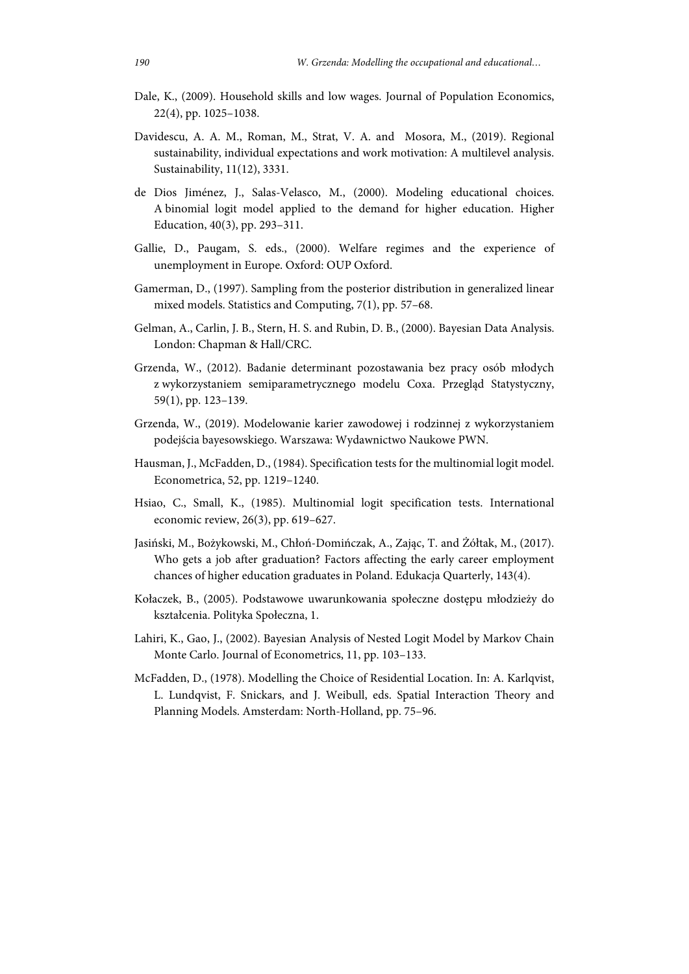- Dale, K., (2009). Household skills and low wages. Journal of Population Economics, 22(4), pp. 1025–1038.
- Davidescu, A. A. M., Roman, M., Strat, V. A. and Mosora, M., (2019). Regional sustainability, individual expectations and work motivation: A multilevel analysis. Sustainability, 11(12), 3331.
- de Dios Jiménez, J., Salas-Velasco, M., (2000). Modeling educational choices. A binomial logit model applied to the demand for higher education. Higher Education, 40(3), pp. 293–311.
- Gallie, D., Paugam, S. eds., (2000). Welfare regimes and the experience of unemployment in Europe. Oxford: OUP Oxford.
- Gamerman, D., (1997). Sampling from the posterior distribution in generalized linear mixed models. Statistics and Computing, 7(1), pp. 57–68.
- Gelman, A., Carlin, J. B., Stern, H. S. and Rubin, D. B., (2000). Bayesian Data Analysis. London: Chapman & Hall/CRC.
- Grzenda, W., (2012). Badanie determinant pozostawania bez pracy osób młodych z wykorzystaniem semiparametrycznego modelu Coxa. Przegląd Statystyczny, 59(1), pp. 123–139.
- Grzenda, W., (2019). Modelowanie karier zawodowej i rodzinnej z wykorzystaniem podejścia bayesowskiego. Warszawa: Wydawnictwo Naukowe PWN.
- Hausman, J., McFadden, D., (1984). Specification tests for the multinomial logit model. Econometrica, 52, pp. 1219–1240.
- Hsiao, C., Small, K., (1985). Multinomial logit specification tests. International economic review, 26(3), pp. 619–627.
- Jasiński, M., Bożykowski, M., Chłoń-Domińczak, A., Zając, T. and Żółtak, M., (2017). Who gets a job after graduation? Factors affecting the early career employment chances of higher education graduates in Poland. Edukacja Quarterly, 143(4).
- Kołaczek, B., (2005). Podstawowe uwarunkowania społeczne dostępu młodzieży do kształcenia. Polityka Społeczna, 1.
- Lahiri, K., Gao, J., (2002). Bayesian Analysis of Nested Logit Model by Markov Chain Monte Carlo. Journal of Econometrics, 11, pp. 103–133.
- McFadden, D., (1978). Modelling the Choice of Residential Location. In: A. Karlqvist, L. Lundqvist, F. Snickars, and J. Weibull, eds. Spatial Interaction Theory and Planning Models. Amsterdam: North-Holland, pp. 75–96.